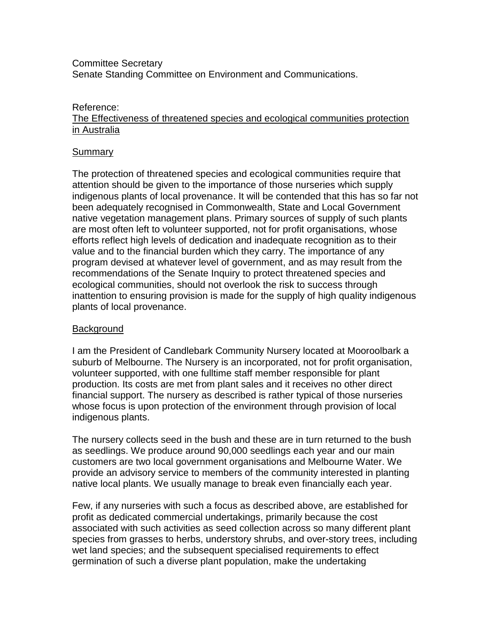#### Committee Secretary Senate Standing Committee on Environment and Communications.

#### Reference:

#### The Effectiveness of threatened species and ecological communities protection in Australia

#### **Summary**

The protection of threatened species and ecological communities require that attention should be given to the importance of those nurseries which supply indigenous plants of local provenance. It will be contended that this has so far not been adequately recognised in Commonwealth, State and Local Government native vegetation management plans. Primary sources of supply of such plants are most often left to volunteer supported, not for profit organisations, whose efforts reflect high levels of dedication and inadequate recognition as to their value and to the financial burden which they carry. The importance of any program devised at whatever level of government, and as may result from the recommendations of the Senate Inquiry to protect threatened species and ecological communities, should not overlook the risk to success through inattention to ensuring provision is made for the supply of high quality indigenous plants of local provenance.

#### **Background**

I am the President of Candlebark Community Nursery located at Mooroolbark a suburb of Melbourne. The Nursery is an incorporated, not for profit organisation, volunteer supported, with one fulltime staff member responsible for plant production. Its costs are met from plant sales and it receives no other direct financial support. The nursery as described is rather typical of those nurseries whose focus is upon protection of the environment through provision of local indigenous plants.

The nursery collects seed in the bush and these are in turn returned to the bush as seedlings. We produce around 90,000 seedlings each year and our main customers are two local government organisations and Melbourne Water. We provide an advisory service to members of the community interested in planting native local plants. We usually manage to break even financially each year.

Few, if any nurseries with such a focus as described above, are established for profit as dedicated commercial undertakings, primarily because the cost associated with such activities as seed collection across so many different plant species from grasses to herbs, understory shrubs, and over-story trees, including wet land species; and the subsequent specialised requirements to effect germination of such a diverse plant population, make the undertaking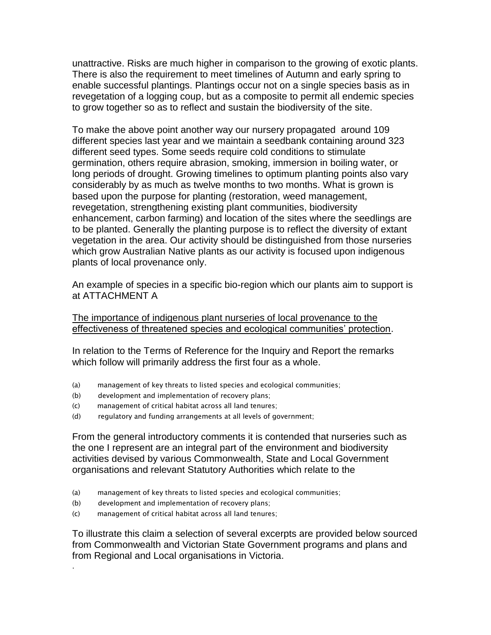unattractive. Risks are much higher in comparison to the growing of exotic plants. There is also the requirement to meet timelines of Autumn and early spring to enable successful plantings. Plantings occur not on a single species basis as in revegetation of a logging coup, but as a composite to permit all endemic species to grow together so as to reflect and sustain the biodiversity of the site.

To make the above point another way our nursery propagated around 109 different species last year and we maintain a seedbank containing around 323 different seed types. Some seeds require cold conditions to stimulate germination, others require abrasion, smoking, immersion in boiling water, or long periods of drought. Growing timelines to optimum planting points also vary considerably by as much as twelve months to two months. What is grown is based upon the purpose for planting (restoration, weed management, revegetation, strengthening existing plant communities, biodiversity enhancement, carbon farming) and location of the sites where the seedlings are to be planted. Generally the planting purpose is to reflect the diversity of extant vegetation in the area. Our activity should be distinguished from those nurseries which grow Australian Native plants as our activity is focused upon indigenous plants of local provenance only.

An example of species in a specific bio-region which our plants aim to support is at ATTACHMENT A

The importance of indigenous plant nurseries of local provenance to the effectiveness of threatened species and ecological communities' protection.

In relation to the Terms of Reference for the Inquiry and Report the remarks which follow will primarily address the first four as a whole.

- (a) management of key threats to listed species and ecological communities;
- (b) development and implementation of recovery plans;
- (c) management of critical habitat across all land tenures;
- (d) regulatory and funding arrangements at all levels of government;

From the general introductory comments it is contended that nurseries such as the one I represent are an integral part of the environment and biodiversity activities devised by various Commonwealth, State and Local Government organisations and relevant Statutory Authorities which relate to the

- (a) management of key threats to listed species and ecological communities;
- (b) development and implementation of recovery plans;

.

(c) management of critical habitat across all land tenures;

To illustrate this claim a selection of several excerpts are provided below sourced from Commonwealth and Victorian State Government programs and plans and from Regional and Local organisations in Victoria.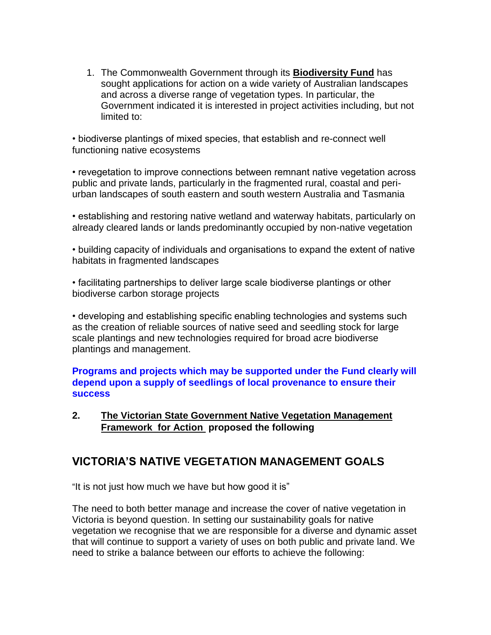1. The Commonwealth Government through its **Biodiversity Fund** has sought applications for action on a wide variety of Australian landscapes and across a diverse range of vegetation types. In particular, the Government indicated it is interested in project activities including, but not limited to:

• biodiverse plantings of mixed species, that establish and re-connect well functioning native ecosystems

• revegetation to improve connections between remnant native vegetation across public and private lands, particularly in the fragmented rural, coastal and periurban landscapes of south eastern and south western Australia and Tasmania

• establishing and restoring native wetland and waterway habitats, particularly on already cleared lands or lands predominantly occupied by non-native vegetation

• building capacity of individuals and organisations to expand the extent of native habitats in fragmented landscapes

• facilitating partnerships to deliver large scale biodiverse plantings or other biodiverse carbon storage projects

• developing and establishing specific enabling technologies and systems such as the creation of reliable sources of native seed and seedling stock for large scale plantings and new technologies required for broad acre biodiverse plantings and management.

#### **Programs and projects which may be supported under the Fund clearly will depend upon a supply of seedlings of local provenance to ensure their success**

**2. The Victorian State Government Native Vegetation Management Framework for Action proposed the following** 

# **VICTORIA'S NATIVE VEGETATION MANAGEMENT GOALS**

"It is not just how much we have but how good it is"

The need to both better manage and increase the cover of native vegetation in Victoria is beyond question. In setting our sustainability goals for native vegetation we recognise that we are responsible for a diverse and dynamic asset that will continue to support a variety of uses on both public and private land. We need to strike a balance between our efforts to achieve the following: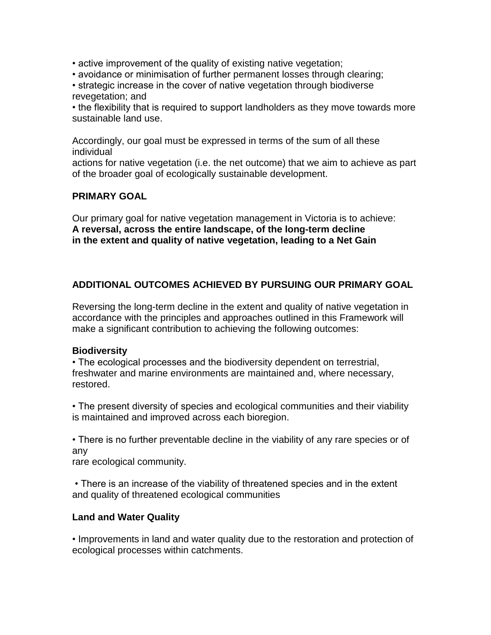- active improvement of the quality of existing native vegetation;
- avoidance or minimisation of further permanent losses through clearing;
- strategic increase in the cover of native vegetation through biodiverse revegetation; and

• the flexibility that is required to support landholders as they move towards more sustainable land use.

Accordingly, our goal must be expressed in terms of the sum of all these individual

actions for native vegetation (i.e. the net outcome) that we aim to achieve as part of the broader goal of ecologically sustainable development.

#### **PRIMARY GOAL**

Our primary goal for native vegetation management in Victoria is to achieve: **A reversal, across the entire landscape, of the long-term decline in the extent and quality of native vegetation, leading to a Net Gain**

## **ADDITIONAL OUTCOMES ACHIEVED BY PURSUING OUR PRIMARY GOAL**

Reversing the long-term decline in the extent and quality of native vegetation in accordance with the principles and approaches outlined in this Framework will make a significant contribution to achieving the following outcomes:

#### **Biodiversity**

• The ecological processes and the biodiversity dependent on terrestrial, freshwater and marine environments are maintained and, where necessary, restored.

• The present diversity of species and ecological communities and their viability is maintained and improved across each bioregion.

• There is no further preventable decline in the viability of any rare species or of any

rare ecological community.

• There is an increase of the viability of threatened species and in the extent and quality of threatened ecological communities

#### **Land and Water Quality**

• Improvements in land and water quality due to the restoration and protection of ecological processes within catchments.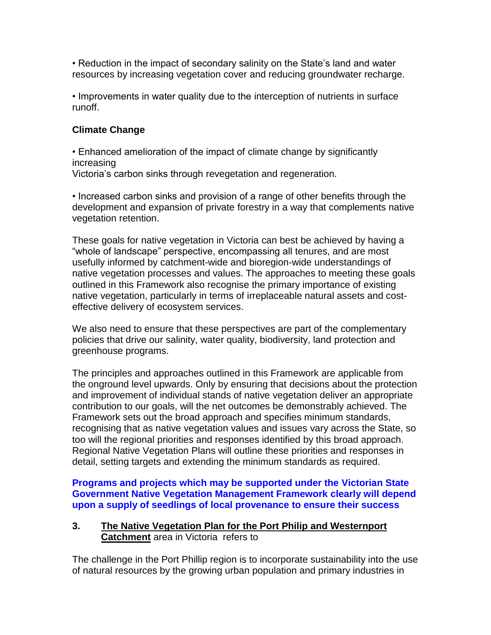• Reduction in the impact of secondary salinity on the State's land and water resources by increasing vegetation cover and reducing groundwater recharge.

• Improvements in water quality due to the interception of nutrients in surface runoff.

## **Climate Change**

• Enhanced amelioration of the impact of climate change by significantly increasing Victoria's carbon sinks through revegetation and regeneration.

• Increased carbon sinks and provision of a range of other benefits through the development and expansion of private forestry in a way that complements native vegetation retention.

These goals for native vegetation in Victoria can best be achieved by having a "whole of landscape" perspective, encompassing all tenures, and are most usefully informed by catchment-wide and bioregion-wide understandings of native vegetation processes and values. The approaches to meeting these goals outlined in this Framework also recognise the primary importance of existing native vegetation, particularly in terms of irreplaceable natural assets and costeffective delivery of ecosystem services.

We also need to ensure that these perspectives are part of the complementary policies that drive our salinity, water quality, biodiversity, land protection and greenhouse programs.

The principles and approaches outlined in this Framework are applicable from the onground level upwards. Only by ensuring that decisions about the protection and improvement of individual stands of native vegetation deliver an appropriate contribution to our goals, will the net outcomes be demonstrably achieved. The Framework sets out the broad approach and specifies minimum standards, recognising that as native vegetation values and issues vary across the State, so too will the regional priorities and responses identified by this broad approach. Regional Native Vegetation Plans will outline these priorities and responses in detail, setting targets and extending the minimum standards as required.

**Programs and projects which may be supported under the Victorian State Government Native Vegetation Management Framework clearly will depend upon a supply of seedlings of local provenance to ensure their success**

## **3. The Native Vegetation Plan for the Port Philip and Westernport Catchment** area in Victoria refers to

The challenge in the Port Phillip region is to incorporate sustainability into the use of natural resources by the growing urban population and primary industries in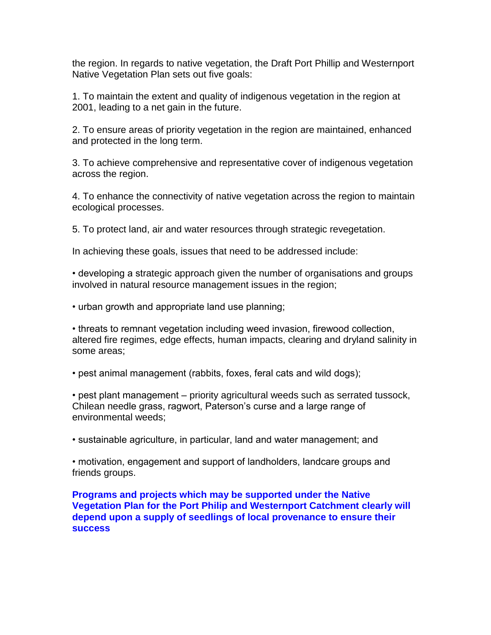the region. In regards to native vegetation, the Draft Port Phillip and Westernport Native Vegetation Plan sets out five goals:

1. To maintain the extent and quality of indigenous vegetation in the region at 2001, leading to a net gain in the future.

2. To ensure areas of priority vegetation in the region are maintained, enhanced and protected in the long term.

3. To achieve comprehensive and representative cover of indigenous vegetation across the region.

4. To enhance the connectivity of native vegetation across the region to maintain ecological processes.

5. To protect land, air and water resources through strategic revegetation.

In achieving these goals, issues that need to be addressed include:

• developing a strategic approach given the number of organisations and groups involved in natural resource management issues in the region;

• urban growth and appropriate land use planning;

• threats to remnant vegetation including weed invasion, firewood collection, altered fire regimes, edge effects, human impacts, clearing and dryland salinity in some areas;

• pest animal management (rabbits, foxes, feral cats and wild dogs);

• pest plant management – priority agricultural weeds such as serrated tussock, Chilean needle grass, ragwort, Paterson's curse and a large range of environmental weeds;

• sustainable agriculture, in particular, land and water management; and

• motivation, engagement and support of landholders, landcare groups and friends groups.

**Programs and projects which may be supported under the Native Vegetation Plan for the Port Philip and Westernport Catchment clearly will depend upon a supply of seedlings of local provenance to ensure their success**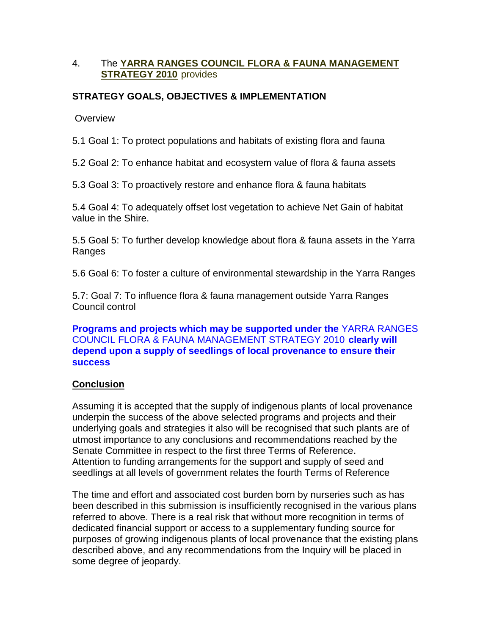### 4. The **YARRA RANGES COUNCIL FLORA & FAUNA MANAGEMENT STRATEGY 2010** provides

## **STRATEGY GOALS, OBJECTIVES & IMPLEMENTATION**

**Overview** 

5.1 Goal 1: To protect populations and habitats of existing flora and fauna

5.2 Goal 2: To enhance habitat and ecosystem value of flora & fauna assets

5.3 Goal 3: To proactively restore and enhance flora & fauna habitats

5.4 Goal 4: To adequately offset lost vegetation to achieve Net Gain of habitat value in the Shire.

5.5 Goal 5: To further develop knowledge about flora & fauna assets in the Yarra Ranges

5.6 Goal 6: To foster a culture of environmental stewardship in the Yarra Ranges

5.7: Goal 7: To influence flora & fauna management outside Yarra Ranges Council control

**Programs and projects which may be supported under the** YARRA RANGES COUNCIL FLORA & FAUNA MANAGEMENT STRATEGY 2010 **clearly will depend upon a supply of seedlings of local provenance to ensure their success**

## **Conclusion**

Assuming it is accepted that the supply of indigenous plants of local provenance underpin the success of the above selected programs and projects and their underlying goals and strategies it also will be recognised that such plants are of utmost importance to any conclusions and recommendations reached by the Senate Committee in respect to the first three Terms of Reference. Attention to funding arrangements for the support and supply of seed and seedlings at all levels of government relates the fourth Terms of Reference

The time and effort and associated cost burden born by nurseries such as has been described in this submission is insufficiently recognised in the various plans referred to above. There is a real risk that without more recognition in terms of dedicated financial support or access to a supplementary funding source for purposes of growing indigenous plants of local provenance that the existing plans described above, and any recommendations from the Inquiry will be placed in some degree of jeopardy.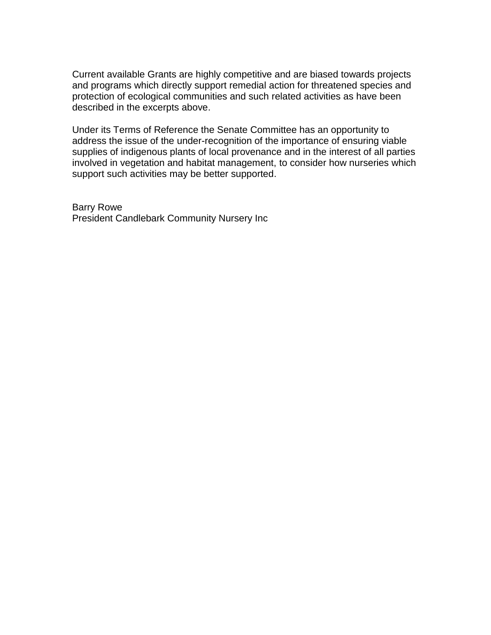Current available Grants are highly competitive and are biased towards projects and programs which directly support remedial action for threatened species and protection of ecological communities and such related activities as have been described in the excerpts above.

Under its Terms of Reference the Senate Committee has an opportunity to address the issue of the under-recognition of the importance of ensuring viable supplies of indigenous plants of local provenance and in the interest of all parties involved in vegetation and habitat management, to consider how nurseries which support such activities may be better supported.

Barry Rowe President Candlebark Community Nursery Inc